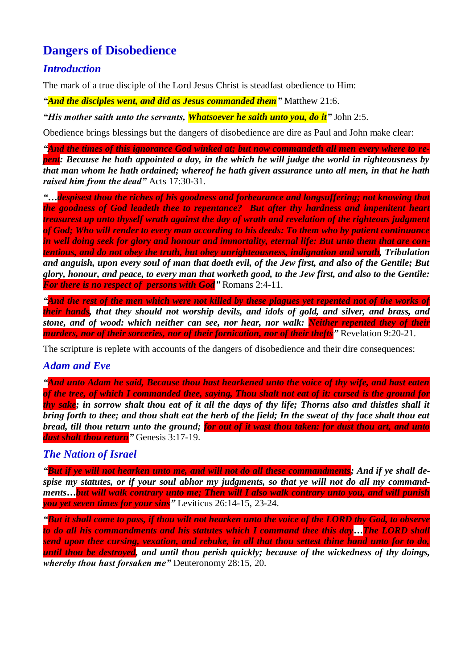# **Dangers of Disobedience**

# *Introduction*

The mark of a true disciple of the Lord Jesus Christ is steadfast obedience to Him:

*"And the disciples went, and did as Jesus commanded them"* Matthew 21:6.

*"His mother saith unto the servants, Whatsoever he saith unto you, do it"* John 2:5.

Obedience brings blessings but the dangers of disobedience are dire as Paul and John make clear:

*"And the times of this ignorance God winked at; but now commandeth all men every where to repent: Because he hath appointed a day, in the which he will judge the world in righteousness by that man whom he hath ordained; whereof he hath given assurance unto all men, in that he hath raised him from the dead"* Acts 17:30-31.

*"…despisest thou the riches of his goodness and forbearance and longsuffering; not knowing that the goodness of God leadeth thee to repentance? But after thy hardness and impenitent heart treasurest up unto thyself wrath against the day of wrath and revelation of the righteous judgment of God; Who will render to every man according to his deeds: To them who by patient continuance in well doing seek for glory and honour and immortality, eternal life: But unto them that are contentious, and do not obey the truth, but obey unrighteousness, indignation and wrath, Tribulation and anguish, upon every soul of man that doeth evil, of the Jew first, and also of the Gentile; But glory, honour, and peace, to every man that worketh good, to the Jew first, and also to the Gentile: For there is no respect of persons with God"* Romans 2:4-11.

*"And the rest of the men which were not killed by these plagues yet repented not of the works of their hands, that they should not worship devils, and idols of gold, and silver, and brass, and stone, and of wood: which neither can see, nor hear, nor walk: Neither repented they of their murders, nor of their sorceries, nor of their fornication, nor of their thefts"* Revelation 9:20-21.

The scripture is replete with accounts of the dangers of disobedience and their dire consequences:

# *Adam and Eve*

*"And unto Adam he said, Because thou hast hearkened unto the voice of thy wife, and hast eaten of the tree, of which I commanded thee, saying, Thou shalt not eat of it: cursed is the ground for thy sake; in sorrow shalt thou eat of it all the days of thy life; Thorns also and thistles shall it bring forth to thee; and thou shalt eat the herb of the field; In the sweat of thy face shalt thou eat bread, till thou return unto the ground; for out of it wast thou taken: for dust thou art, and unto dust shalt thou return"* Genesis 3:17-19.

# *The Nation of Israel*

*"But if ye will not hearken unto me, and will not do all these commandments; And if ye shall despise my statutes, or if your soul abhor my judgments, so that ye will not do all my commandments…but will walk contrary unto me; Then will I also walk contrary unto you, and will punish you yet seven times for your sins"* Leviticus 26:14-15, 23-24.

*"But it shall come to pass, if thou wilt not hearken unto the voice of the LORD thy God, to observe to do all his commandments and his statutes which I command thee this day…The LORD shall send upon thee cursing, vexation, and rebuke, in all that thou settest thine hand unto for to do, until thou be destroyed, and until thou perish quickly; because of the wickedness of thy doings, whereby thou hast forsaken me"* Deuteronomy 28:15, 20.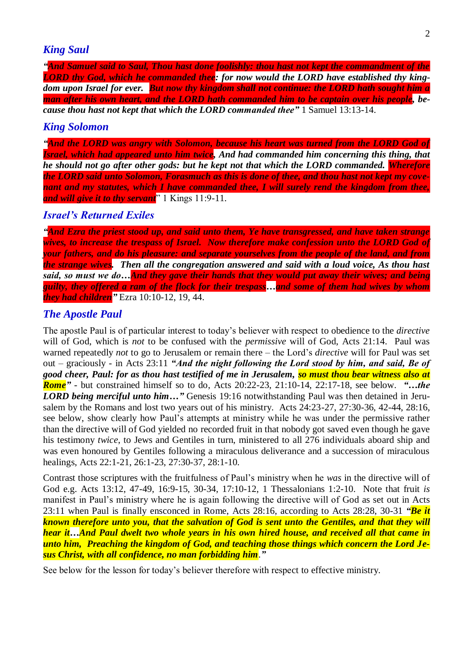## *King Saul*

*"And Samuel said to Saul, Thou hast done foolishly: thou hast not kept the commandment of the LORD thy God, which he commanded thee: for now would the LORD have established thy kingdom upon Israel for ever. But now thy kingdom shall not continue: the LORD hath sought him a man after his own heart, and the LORD hath commanded him to be captain over his people, because thou hast not kept that which the LORD commanded thee"* 1 Samuel 13:13-14.

#### *King Solomon*

*"And the LORD was angry with Solomon, because his heart was turned from the LORD God of Israel, which had appeared unto him twice, And had commanded him concerning this thing, that he should not go after other gods: but he kept not that which the LORD commanded. Wherefore the LORD said unto Solomon, Forasmuch as this is done of thee, and thou hast not kept my covenant and my statutes, which I have commanded thee, I will surely rend the kingdom from thee, and will give it to thy servant*" 1 Kings 11:9-11.

### *Israel's Returned Exiles*

*"And Ezra the priest stood up, and said unto them, Ye have transgressed, and have taken strange wives, to increase the trespass of Israel. Now therefore make confession unto the LORD God of your fathers, and do his pleasure: and separate yourselves from the people of the land, and from the strange wives. Then all the congregation answered and said with a loud voice, As thou hast said, so must we do…And they gave their hands that they would put away their wives; and being guilty, they offered a ram of the flock for their trespass…and some of them had wives by whom they had children"* Ezra 10:10-12, 19, 44.

#### *The Apostle Paul*

The apostle Paul is of particular interest to today's believer with respect to obedience to the *directive* will of God, which is *not* to be confused with the *permissive* will of God, Acts 21:14. Paul was warned repeatedly *not* to go to Jerusalem or remain there – the Lord's *directive* will for Paul was set out – graciously - in Acts 23:11 *"And the night following the Lord stood by him, and said, Be of good cheer, Paul: for as thou hast testified of me in Jerusalem, so must thou bear witness also at Rome"* - but constrained himself so to do, Acts 20:22-23, 21:10-14, 22:17-18, see below. *"…the LORD being merciful unto him...*" Genesis 19:16 notwithstanding Paul was then detained in Jerusalem by the Romans and lost two years out of his ministry. Acts 24:23-27, 27:30-36, 42-44, 28:16, see below, show clearly how Paul's attempts at ministry while he was under the permissive rather than the directive will of God yielded no recorded fruit in that nobody got saved even though he gave his testimony *twice*, to Jews and Gentiles in turn, ministered to all 276 individuals aboard ship and was even honoured by Gentiles following a miraculous deliverance and a succession of miraculous healings, Acts 22:1-21, 26:1-23, 27:30-37, 28:1-10.

Contrast those scriptures with the fruitfulness of Paul's ministry when he *was* in the directive will of God e.g. Acts 13:12, 47-49, 16:9-15, 30-34, 17:10-12, 1 Thessalonians 1:2-10. Note that fruit *is* manifest in Paul's ministry where he is again following the directive will of God as set out in Acts 23:11 when Paul is finally ensconced in Rome, Acts 28:16, according to Acts 28:28, 30-31 *"Be it known therefore unto you, that the salvation of God is sent unto the Gentiles, and that they will hear it…And Paul dwelt two whole years in his own hired house, and received all that came in unto him, Preaching the kingdom of God, and teaching those things which concern the Lord Jesus Christ, with all confidence, no man forbidding him*.*"*

See below for the lesson for today's believer therefore with respect to effective ministry.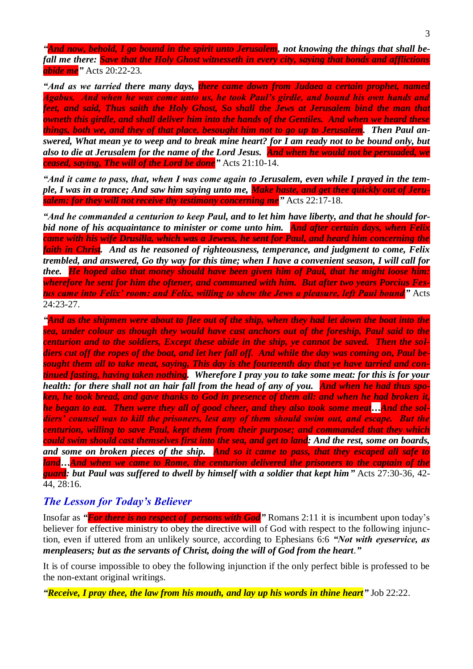*"And now, behold, I go bound in the spirit unto Jerusalem, not knowing the things that shall befall me there: Save that the Holy Ghost witnesseth in every city, saying that bonds and afflictions abide me"* Acts 20:22-23.

*"And as we tarried there many days, there came down from Judaea a certain prophet, named Agabus. And when he was come unto us, he took Paul's girdle, and bound his own hands and feet, and said, Thus saith the Holy Ghost, So shall the Jews at Jerusalem bind the man that owneth this girdle, and shall deliver him into the hands of the Gentiles. And when we heard these things, both we, and they of that place, besought him not to go up to Jerusalem. Then Paul answered, What mean ye to weep and to break mine heart? for I am ready not to be bound only, but also to die at Jerusalem for the name of the Lord Jesus. And when he would not be persuaded, we ceased, saying, The will of the Lord be done"* Acts 21:10-14.

*"And it came to pass, that, when I was come again to Jerusalem, even while I prayed in the temple, I was in a trance; And saw him saying unto me, Make haste, and get thee quickly out of Jerusalem: for they will not receive thy testimony concerning me"* Acts 22:17-18.

*"And he commanded a centurion to keep Paul, and to let him have liberty, and that he should forbid none of his acquaintance to minister or come unto him. And after certain days, when Felix came with his wife Drusilla, which was a Jewess, he sent for Paul, and heard him concerning the faith in Christ. And as he reasoned of righteousness, temperance, and judgment to come, Felix trembled, and answered, Go thy way for this time; when I have a convenient season, I will call for thee. He hoped also that money should have been given him of Paul, that he might loose him: wherefore he sent for him the oftener, and communed with him. But after two years Porcius Festus came into Felix' room: and Felix, willing to shew the Jews a pleasure, left Paul bound"* Acts 24:23-27.

*"And as the shipmen were about to flee out of the ship, when they had let down the boat into the sea, under colour as though they would have cast anchors out of the foreship, Paul said to the centurion and to the soldiers, Except these abide in the ship, ye cannot be saved. Then the soldiers cut off the ropes of the boat, and let her fall off. And while the day was coming on, Paul besought them all to take meat, saying, This day is the fourteenth day that ye have tarried and continued fasting, having taken nothing. Wherefore I pray you to take some meat: for this is for your*  health: for there shall not an hair fall from the head of any of you. And when he had thus spo*ken, he took bread, and gave thanks to God in presence of them all: and when he had broken it, he began to eat. Then were they all of good cheer, and they also took some meat…And the soldiers' counsel was to kill the prisoners, lest any of them should swim out, and escape. But the centurion, willing to save Paul, kept them from their purpose; and commanded that they which could swim should cast themselves first into the sea, and get to land: And the rest, some on boards, and some on broken pieces of the ship. And so it came to pass, that they escaped all safe to land…And when we came to Rome, the centurion delivered the prisoners to the captain of the guard: but Paul was suffered to dwell by himself with a soldier that kept him"* Acts 27:30-36, 42- 44, 28:16.

## *The Lesson for Today's Believer*

Insofar as *"For there is no respect of persons with God"* Romans 2:11 it is incumbent upon today's believer for effective ministry to obey the directive will of God with respect to the following injunction, even if uttered from an unlikely source, according to Ephesians 6:6 *"Not with eyeservice, as menpleasers; but as the servants of Christ, doing the will of God from the heart*.*"*

It is of course impossible to obey the following injunction if the only perfect bible is professed to be the non-extant original writings.

*"Receive, I pray thee, the law from his mouth, and lay up his words in thine heart"* Job 22:22.